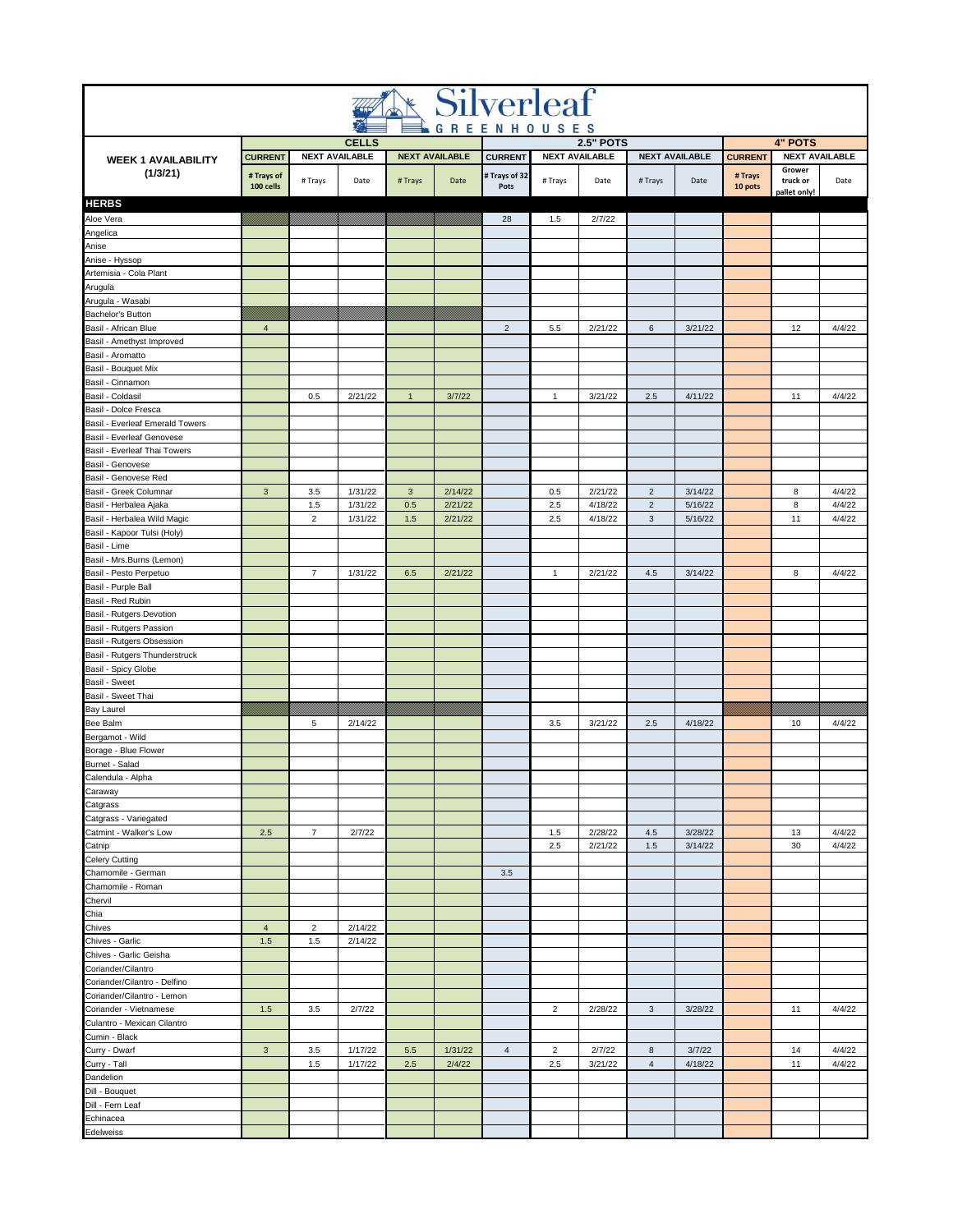| <b>Silverleaf</b>                                     |                           |                       |                                       |                     |                       |                       |                |                       |                                  |                       |                    |                                         |                  |
|-------------------------------------------------------|---------------------------|-----------------------|---------------------------------------|---------------------|-----------------------|-----------------------|----------------|-----------------------|----------------------------------|-----------------------|--------------------|-----------------------------------------|------------------|
|                                                       |                           |                       |                                       |                     |                       | <b>GREENHOUSES</b>    |                | <b>2.5" POTS</b>      |                                  |                       |                    |                                         |                  |
| <b>WEEK 1 AVAILABILITY</b>                            | <b>CURRENT</b>            |                       | <b>CELLS</b><br><b>NEXT AVAILABLE</b> |                     | <b>NEXT AVAILABLE</b> | <b>CURRENT</b>        |                | <b>NEXT AVAILABLE</b> |                                  | <b>NEXT AVAILABLE</b> | <b>CURRENT</b>     | <b>4" POTS</b><br><b>NEXT AVAILABLE</b> |                  |
| (1/3/21)                                              | # Trays of<br>100 cells   | # Trays               | Date                                  | #Trays              | Date                  | # Trays of 32<br>Pots | # Trays        | Date                  | # Trays                          | Date                  | # Trays<br>10 pots | Grower<br>truck or<br>pallet only!      | Date             |
| <b>HERBS</b>                                          |                           |                       |                                       |                     |                       |                       |                |                       |                                  |                       |                    |                                         |                  |
| Aloe Vera                                             |                           |                       |                                       |                     |                       | 28                    | 1.5            | 2/7/22                |                                  |                       |                    |                                         |                  |
| Angelica<br>Anise                                     |                           |                       |                                       |                     |                       |                       |                |                       |                                  |                       |                    |                                         |                  |
| Anise - Hyssop                                        |                           |                       |                                       |                     |                       |                       |                |                       |                                  |                       |                    |                                         |                  |
| Artemisia - Cola Plant                                |                           |                       |                                       |                     |                       |                       |                |                       |                                  |                       |                    |                                         |                  |
| Arugula                                               |                           |                       |                                       |                     |                       |                       |                |                       |                                  |                       |                    |                                         |                  |
| Arugula - Wasabi                                      |                           |                       |                                       |                     |                       |                       |                |                       |                                  |                       |                    |                                         |                  |
| Bachelor's Button<br>Basil - African Blue             | $\overline{4}$            |                       |                                       |                     |                       | $\overline{c}$        | 5.5            | 2/21/22               | 6                                | 3/21/22               |                    | 12                                      | 4/4/22           |
| Basil - Amethyst Improved                             |                           |                       |                                       |                     |                       |                       |                |                       |                                  |                       |                    |                                         |                  |
| Basil - Aromatto                                      |                           |                       |                                       |                     |                       |                       |                |                       |                                  |                       |                    |                                         |                  |
| Basil - Bouquet Mix                                   |                           |                       |                                       |                     |                       |                       |                |                       |                                  |                       |                    |                                         |                  |
| Basil - Cinnamon                                      |                           |                       |                                       |                     |                       |                       |                |                       |                                  |                       |                    |                                         |                  |
| Basil - Coldasil<br>Basil - Dolce Fresca              |                           | 0.5                   | 2/21/22                               | $\mathbf{1}$        | 3/7/22                |                       | $\mathbf{1}$   | 3/21/22               | 2.5                              | 4/11/22               |                    | 11                                      | 4/4/22           |
| Basil - Everleaf Emerald Towers                       |                           |                       |                                       |                     |                       |                       |                |                       |                                  |                       |                    |                                         |                  |
| Basil - Everleaf Genovese                             |                           |                       |                                       |                     |                       |                       |                |                       |                                  |                       |                    |                                         |                  |
| Basil - Everleaf Thai Towers                          |                           |                       |                                       |                     |                       |                       |                |                       |                                  |                       |                    |                                         |                  |
| Basil - Genovese                                      |                           |                       |                                       |                     |                       |                       |                |                       |                                  |                       |                    |                                         |                  |
| Basil - Genovese Red                                  |                           |                       |                                       |                     |                       |                       |                |                       |                                  |                       |                    |                                         |                  |
| Basil - Greek Columnar<br>Basil - Herbalea Ajaka      | $\ensuremath{\mathsf{3}}$ | 3.5<br>1.5            | 1/31/22<br>1/31/22                    | $\mathbf{3}$<br>0.5 | 2/14/22<br>2/21/22    |                       | 0.5<br>2.5     | 2/21/22<br>4/18/22    | $\overline{2}$<br>$\overline{2}$ | 3/14/22<br>5/16/22    |                    | 8<br>8                                  | 4/4/22<br>4/4/22 |
| Basil - Herbalea Wild Magic                           |                           | $\overline{2}$        | 1/31/22                               | 1.5                 | 2/21/22               |                       | 2.5            | 4/18/22               | $\mathbf{3}$                     | 5/16/22               |                    | 11                                      | 4/4/22           |
| Basil - Kapoor Tulsi (Holy)                           |                           |                       |                                       |                     |                       |                       |                |                       |                                  |                       |                    |                                         |                  |
| Basil - Lime                                          |                           |                       |                                       |                     |                       |                       |                |                       |                                  |                       |                    |                                         |                  |
| Basil - Mrs.Burns (Lemon)                             |                           |                       |                                       |                     |                       |                       |                |                       |                                  |                       |                    |                                         |                  |
| Basil - Pesto Perpetuo<br>Basil - Purple Ball         |                           | $\overline{7}$        | 1/31/22                               | 6.5                 | 2/21/22               |                       | $\mathbf{1}$   | 2/21/22               | 4.5                              | 3/14/22               |                    | 8                                       | 4/4/22           |
| Basil - Red Rubin                                     |                           |                       |                                       |                     |                       |                       |                |                       |                                  |                       |                    |                                         |                  |
| Basil - Rutgers Devotion                              |                           |                       |                                       |                     |                       |                       |                |                       |                                  |                       |                    |                                         |                  |
| Basil - Rutgers Passion                               |                           |                       |                                       |                     |                       |                       |                |                       |                                  |                       |                    |                                         |                  |
| Basil - Rutgers Obsession                             |                           |                       |                                       |                     |                       |                       |                |                       |                                  |                       |                    |                                         |                  |
| Basil - Rutgers Thunderstruck                         |                           |                       |                                       |                     |                       |                       |                |                       |                                  |                       |                    |                                         |                  |
| Basil - Spicy Globe<br>Basil - Sweet                  |                           |                       |                                       |                     |                       |                       |                |                       |                                  |                       |                    |                                         |                  |
| Basil - Sweet Thai                                    |                           |                       |                                       |                     |                       |                       |                |                       |                                  |                       |                    |                                         |                  |
| Bay Laurel                                            |                           |                       |                                       |                     |                       |                       |                |                       |                                  |                       |                    |                                         |                  |
| Bee Balm                                              |                           | 5                     | 2/14/22                               |                     |                       |                       | 3.5            | 3/21/22               | 2.5                              | 4/18/22               |                    | 10                                      | 4/4/22           |
| Bergamot - Wild                                       |                           |                       |                                       |                     |                       |                       |                |                       |                                  |                       |                    |                                         |                  |
| Borage - Blue Flower<br>Burnet - Salad                |                           |                       |                                       |                     |                       |                       |                |                       |                                  |                       |                    |                                         |                  |
| Calendula - Alpha                                     |                           |                       |                                       |                     |                       |                       |                |                       |                                  |                       |                    |                                         |                  |
| Caraway                                               |                           |                       |                                       |                     |                       |                       |                |                       |                                  |                       |                    |                                         |                  |
| Catgrass                                              |                           |                       |                                       |                     |                       |                       |                |                       |                                  |                       |                    |                                         |                  |
| Catgrass - Variegated                                 |                           |                       |                                       |                     |                       |                       |                |                       |                                  |                       |                    |                                         |                  |
| Catmint - Walker's Low                                | $2.5\,$                   | $\overline{7}$        | 2/7/22                                |                     |                       |                       | 1.5            | 2/28/22               | 4.5                              | 3/28/22               |                    | 13                                      | 4/4/22           |
| Catnip<br>Celery Cutting                              |                           |                       |                                       |                     |                       |                       | 2.5            | 2/21/22               | 1.5                              | 3/14/22               |                    | 30                                      | 4/4/22           |
| Chamomile - German                                    |                           |                       |                                       |                     |                       | 3.5                   |                |                       |                                  |                       |                    |                                         |                  |
| Chamomile - Roman                                     |                           |                       |                                       |                     |                       |                       |                |                       |                                  |                       |                    |                                         |                  |
| Chervil                                               |                           |                       |                                       |                     |                       |                       |                |                       |                                  |                       |                    |                                         |                  |
| Chia                                                  |                           |                       |                                       |                     |                       |                       |                |                       |                                  |                       |                    |                                         |                  |
| Chives<br>Chives - Garlic                             | $\sqrt{4}$<br>1.5         | $\overline{2}$<br>1.5 | 2/14/22<br>2/14/22                    |                     |                       |                       |                |                       |                                  |                       |                    |                                         |                  |
| Chives - Garlic Geisha                                |                           |                       |                                       |                     |                       |                       |                |                       |                                  |                       |                    |                                         |                  |
| Coriander/Cilantro                                    |                           |                       |                                       |                     |                       |                       |                |                       |                                  |                       |                    |                                         |                  |
| Coriander/Cilantro - Delfino                          |                           |                       |                                       |                     |                       |                       |                |                       |                                  |                       |                    |                                         |                  |
| Coriander/Cilantro - Lemon                            |                           |                       |                                       |                     |                       |                       |                |                       |                                  |                       |                    |                                         |                  |
| Coriander - Vietnamese<br>Culantro - Mexican Cilantro | $1.5$                     | 3.5                   | 2/7/22                                |                     |                       |                       | $\overline{2}$ | 2/28/22               | $\mathbf{3}$                     | 3/28/22               |                    | 11                                      | 4/4/22           |
| Cumin - Black                                         |                           |                       |                                       |                     |                       |                       |                |                       |                                  |                       |                    |                                         |                  |
| Curry - Dwarf                                         | $\ensuremath{\mathsf{3}}$ | $3.5\,$               | 1/17/22                               | $5.5\,$             | 1/31/22               | $\overline{4}$        | $\overline{2}$ | 2/7/22                | $\bf8$                           | 3/7/22                |                    | 14                                      | 4/4/22           |
| Curry - Tall                                          |                           | 1.5                   | 1/17/22                               | 2.5                 | 2/4/22                |                       | 2.5            | 3/21/22               | $\sqrt{4}$                       | 4/18/22               |                    | 11                                      | 4/4/22           |
| Dandelion                                             |                           |                       |                                       |                     |                       |                       |                |                       |                                  |                       |                    |                                         |                  |
| Dill - Bouquet                                        |                           |                       |                                       |                     |                       |                       |                |                       |                                  |                       |                    |                                         |                  |
| Dill - Fern Leaf<br>Echinacea                         |                           |                       |                                       |                     |                       |                       |                |                       |                                  |                       |                    |                                         |                  |
| Edelweiss                                             |                           |                       |                                       |                     |                       |                       |                |                       |                                  |                       |                    |                                         |                  |
|                                                       |                           |                       |                                       |                     |                       |                       |                |                       |                                  |                       |                    |                                         |                  |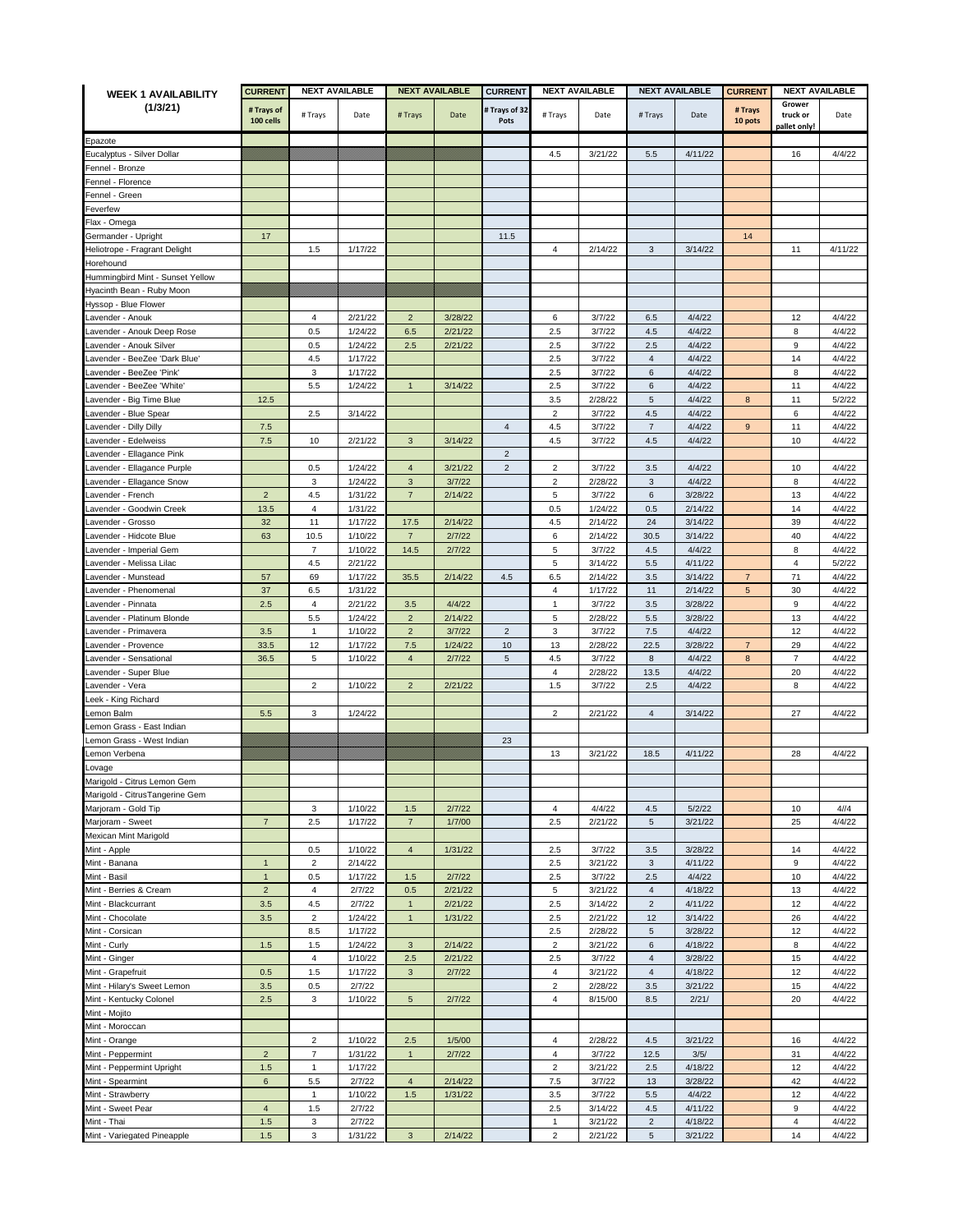| <b>WEEK 1 AVAILABILITY</b>            | <b>CURRENT</b>          | <b>NEXT AVAILABLE</b>   |                    | <b>NEXT AVAILABLE</b>  |                   | <b>CURRENT</b>        | <b>NEXT AVAILABLE</b> |                    | <b>NEXT AVAILABLE</b>   |                    | <b>NEXT AVAILABLE</b><br><b>CURRENT</b> |                                    |                  |
|---------------------------------------|-------------------------|-------------------------|--------------------|------------------------|-------------------|-----------------------|-----------------------|--------------------|-------------------------|--------------------|-----------------------------------------|------------------------------------|------------------|
| (1/3/21)                              | # Trays of<br>100 cells | # Trays                 | Date               | # Trays                | Date              | # Trays of 32<br>Pots | # Trays               | Date               | # Trays                 | Date               | # Trays<br>10 pots                      | Grower<br>truck or<br>pallet only! | Date             |
|                                       |                         |                         |                    |                        |                   |                       |                       |                    |                         |                    |                                         |                                    |                  |
| Epazote<br>Eucalyptus - Silver Dollar |                         |                         |                    |                        |                   |                       | 4.5                   | 3/21/22            | 5.5                     | 4/11/22            |                                         | 16                                 | 4/4/22           |
| Fennel - Bronze                       |                         |                         |                    |                        |                   |                       |                       |                    |                         |                    |                                         |                                    |                  |
| Fennel - Florence                     |                         |                         |                    |                        |                   |                       |                       |                    |                         |                    |                                         |                                    |                  |
| Fennel - Green                        |                         |                         |                    |                        |                   |                       |                       |                    |                         |                    |                                         |                                    |                  |
| Feverfew                              |                         |                         |                    |                        |                   |                       |                       |                    |                         |                    |                                         |                                    |                  |
| -lax - Omega                          |                         |                         |                    |                        |                   |                       |                       |                    |                         |                    |                                         |                                    |                  |
| Germander - Upright                   | 17                      |                         |                    |                        |                   | 11.5                  |                       |                    |                         |                    | 14                                      |                                    |                  |
| Heliotrope - Fragrant Delight         |                         | 1.5                     | 1/17/22            |                        |                   |                       | 4                     | 2/14/22            | 3                       | 3/14/22            |                                         | 11                                 | 4/11/22          |
| Horehound                             |                         |                         |                    |                        |                   |                       |                       |                    |                         |                    |                                         |                                    |                  |
| Hummingbird Mint - Sunset Yellow      |                         |                         |                    |                        |                   |                       |                       |                    |                         |                    |                                         |                                    |                  |
| Hyacinth Bean - Ruby Moon             |                         |                         |                    |                        |                   |                       |                       |                    |                         |                    |                                         |                                    |                  |
| Hyssop - Blue Flower                  |                         |                         |                    |                        |                   |                       |                       |                    |                         |                    |                                         |                                    |                  |
| Lavender - Anouk                      |                         | 4                       | 2/21/22            | $\overline{2}$         | 3/28/22           |                       | 6                     | 3/7/22             | 6.5                     | 4/4/22             |                                         | 12                                 | 4/4/22           |
| avender - Anouk Deep Rose             |                         | 0.5                     | 1/24/22            | 6.5                    | 2/21/22           |                       | 2.5                   | 3/7/22             | 4.5                     | 4/4/22             |                                         | 8                                  | 4/4/22           |
| _avender - Anouk Silver               |                         | 0.5                     | 1/24/22            | 2.5                    | 2/21/22           |                       | 2.5                   | 3/7/22             | 2.5                     | 4/4/22             |                                         | 9                                  | 4/4/22           |
| avender - BeeZee 'Dark Blue'          |                         | 4.5                     | 1/17/22            |                        |                   |                       | 2.5                   | 3/7/22             | $\overline{4}$          | 4/4/22             |                                         | 14                                 | 4/4/22           |
| avender - BeeZee 'Pink'               |                         | 3                       | 1/17/22            |                        |                   |                       | 2.5                   | 3/7/22             | 6                       | 4/4/22             |                                         | 8                                  | 4/4/22           |
| _avender - BeeZee 'White'             |                         | 5.5                     | 1/24/22            | $\mathbf{1}$           | 3/14/22           |                       | 2.5                   | 3/7/22             | 6                       | 4/4/22             |                                         | 11                                 | 4/4/22           |
| avender - Big Time Blue               | 12.5                    |                         |                    |                        |                   |                       | 3.5                   | 2/28/22            | 5                       | 4/4/22             | 8                                       | 11                                 | 5/2/22           |
| avender - Blue Spear                  |                         | 2.5                     | 3/14/22            |                        |                   |                       | $\overline{2}$        | 3/7/22             | 4.5                     | 4/4/22             |                                         | 6                                  | 4/4/22           |
| avender - Dilly Dilly.                | 7.5                     |                         |                    |                        |                   | $\overline{4}$        | 4.5                   | 3/7/22             | $\sqrt{7}$              | 4/4/22             | 9                                       | 11                                 | 4/4/22           |
| avender - Edelweiss                   | 7.5                     | 10                      | 2/21/22            | $\mathbf{3}$           | 3/14/22           |                       | 4.5                   | 3/7/22             | 4.5                     | 4/4/22             |                                         | 10                                 | 4/4/22           |
| avender - Ellagance Pink              |                         |                         |                    |                        |                   | $\overline{2}$        |                       |                    |                         |                    |                                         |                                    |                  |
| avender - Ellagance Purple            |                         | 0.5                     | 1/24/22            | $\overline{4}$         | 3/21/22           | $\overline{c}$        | $\overline{2}$        | 3/7/22             | 3.5                     | 4/4/22             |                                         | 10                                 | 4/4/22           |
| avender - Ellagance Snow              |                         | 3                       | 1/24/22            | $\mathbf{3}$           | 3/7/22            |                       | $\overline{2}$        | 2/28/22            | 3                       | 4/4/22             |                                         | 8                                  | 4/4/22           |
| _avender - French                     | $\overline{2}$          | 4.5                     | 1/31/22            | $\overline{7}$         | 2/14/22           |                       | 5                     | 3/7/22             | 6                       | 3/28/22            |                                         | 13                                 | 4/4/22           |
| avender - Goodwin Creek               |                         | $\overline{4}$          |                    |                        |                   |                       |                       |                    |                         | 2/14/22            |                                         |                                    |                  |
|                                       | 13.5<br>32              | 11                      | 1/31/22            |                        |                   |                       | 0.5                   | 1/24/22            | 0.5                     |                    |                                         | 14                                 | 4/4/22           |
| _avender - Grosso                     | 63                      | 10.5                    | 1/17/22<br>1/10/22 | 17.5<br>$\overline{7}$ | 2/14/22<br>2/7/22 |                       | 4.5<br>6              | 2/14/22<br>2/14/22 | 24<br>30.5              | 3/14/22<br>3/14/22 |                                         | 39<br>40                           | 4/4/22<br>4/4/22 |
| avender - Hidcote Blue                |                         | $\overline{7}$          |                    |                        |                   |                       |                       |                    |                         |                    |                                         |                                    |                  |
| avender - Imperial Gem                |                         |                         | 1/10/22            | 14.5                   | 2/7/22            |                       | 5                     | 3/7/22<br>3/14/22  | 4.5                     | 4/4/22             |                                         | 8                                  | 4/4/22           |
| avender - Melissa Lilac               |                         | 4.5                     | 2/21/22            |                        |                   |                       | 5<br>6.5              | 2/14/22            | 5.5                     | 4/11/22            | $\overline{7}$                          | 4<br>71                            | 5/2/22<br>4/4/22 |
| avender - Munstead                    | 57                      | 69                      | 1/17/22            | 35.5                   | 2/14/22           | 4.5                   |                       |                    | 3.5                     | 3/14/22            |                                         |                                    |                  |
| avender - Phenomenal                  | 37                      | 6.5                     | 1/31/22            |                        |                   |                       | 4                     | 1/17/22            | 11                      | 2/14/22            | 5                                       | 30                                 | 4/4/22           |
| avender - Pinnata                     | 2.5                     | $\overline{4}$          | 2/21/22            | 3.5                    | 4/4/22            |                       | $\mathbf{1}$          | 3/7/22             | 3.5                     | 3/28/22            |                                         | 9                                  | 4/4/22           |
| avender - Platinum Blonde             |                         | 5.5                     | 1/24/22            | $\overline{2}$         | 2/14/22           |                       | 5                     | 2/28/22            | 5.5                     | 3/28/22            |                                         | 13                                 | 4/4/22           |
| avender - Primavera                   | 3.5                     | $\mathbf{1}$            | 1/10/22            | $\sqrt{2}$             | 3/7/22            | $\overline{2}$        | $\mathbf 3$           | 3/7/22             | 7.5                     | 4/4/22             |                                         | 12                                 | 4/4/22           |
| Lavender - Provence                   | 33.5                    | 12                      | 1/17/22            | 7.5                    | 1/24/22           | 10                    | 13                    | 2/28/22            | 22.5                    | 3/28/22            | $\overline{7}$                          | 29                                 | 4/4/22           |
| _avender - Sensational                | 36.5                    | 5                       | 1/10/22            | $\overline{4}$         | 2/7/22            | 5                     | 4.5                   | 3/7/22             | 8                       | 4/4/22             | 8                                       | $\overline{7}$                     | 4/4/22           |
| avender - Super Blue                  |                         |                         |                    |                        |                   |                       | 4                     | 2/28/22            | 13.5                    | 4/4/22             |                                         | 20                                 | 4/4/22           |
| avender - Vera                        |                         | $\overline{2}$          | 1/10/22            | $\overline{2}$         | 2/21/22           |                       | 1.5                   | 3/7/22             | 2.5                     | 4/4/22             |                                         | 8                                  | 4/4/22           |
| eek - King Richard_                   |                         |                         |                    |                        |                   |                       |                       |                    |                         |                    |                                         |                                    |                  |
| emon Balm                             | 5.5                     | 3                       | 1/24/22            |                        |                   |                       | $\overline{2}$        | 2/21/22            | $\overline{4}$          | 3/14/22            |                                         | 27                                 | 4/4/22           |
| emon Grass - East Indian              |                         |                         |                    |                        |                   |                       |                       |                    |                         |                    |                                         |                                    |                  |
| Lemon Grass - West Indian             |                         |                         |                    |                        |                   | 23                    |                       |                    |                         |                    |                                         |                                    |                  |
| _emon Verbena                         |                         |                         |                    |                        |                   |                       | 13                    | 3/21/22            | 18.5                    | 4/11/22            |                                         | 28                                 | 4/4/22           |
| ovage                                 |                         |                         |                    |                        |                   |                       |                       |                    |                         |                    |                                         |                                    |                  |
| Marigold - Citrus Lemon Gem           |                         |                         |                    |                        |                   |                       |                       |                    |                         |                    |                                         |                                    |                  |
| Marigold - CitrusTangerine Gem        |                         |                         |                    |                        |                   |                       |                       |                    |                         |                    |                                         |                                    |                  |
| Marjoram - Gold Tip                   |                         | 3                       | 1/10/22            | 1.5                    | 2/7/22            |                       | $\overline{4}$        | 4/4/22             | $4.5\,$                 | 5/2/22             |                                         | 10                                 | 4/14             |
| Marjoram - Sweet                      | $\overline{7}$          | 2.5                     | 1/17/22            | $\overline{7}$         | 1/7/00            |                       | 2.5                   | 2/21/22            | 5                       | 3/21/22            |                                         | 25                                 | 4/4/22           |
| Mexican Mint Marigold                 |                         |                         |                    |                        |                   |                       |                       |                    |                         |                    |                                         |                                    |                  |
| Mint - Apple                          |                         | 0.5                     | 1/10/22            | $\overline{4}$         | 1/31/22           |                       | 2.5                   | 3/7/22             | $3.5\,$                 | 3/28/22            |                                         | 14                                 | 4/4/22           |
| Mint - Banana                         | $\mathbf{1}$            | $\overline{2}$          | 2/14/22            |                        |                   |                       | 2.5                   | 3/21/22            | 3                       | 4/11/22            |                                         | 9                                  | 4/4/22           |
| Mint - Basil                          | $\mathbf{1}$            | 0.5                     | 1/17/22            | 1.5                    | 2/7/22            |                       | 2.5                   | 3/7/22             | $2.5\,$                 | 4/4/22             |                                         | 10                                 | 4/4/22           |
| Mint - Berries & Cream                | $\sqrt{2}$              | $\overline{\mathbf{4}}$ | 2/7/22             | 0.5                    | 2/21/22           |                       | 5                     | 3/21/22            | $\overline{\mathbf{4}}$ | 4/18/22            |                                         | 13                                 | 4/4/22           |
| Mint - Blackcurrant                   | $3.5\,$                 | 4.5                     | 2/7/22             | $\mathbf{1}$           | 2/21/22           |                       | 2.5                   | 3/14/22            | $\overline{2}$          | 4/11/22            |                                         | 12                                 | 4/4/22           |
| Mint - Chocolate                      | $3.5\,$                 | $\overline{c}$          | 1/24/22            | $\mathbf{1}$           | 1/31/22           |                       | 2.5                   | 2/21/22            | 12                      | 3/14/22            |                                         | 26                                 | 4/4/22           |
| Mint - Corsican                       |                         | 8.5                     | 1/17/22            |                        |                   |                       | 2.5                   | 2/28/22            | 5                       | 3/28/22            |                                         | 12                                 | 4/4/22           |
| Mint - Curly                          | 1.5                     | 1.5                     | 1/24/22            | $\mathbf{3}$           | 2/14/22           |                       | $\overline{c}$        | 3/21/22            | 6                       | 4/18/22            |                                         | 8                                  | 4/4/22           |
| Mint - Ginger                         |                         | $\overline{4}$          | 1/10/22            | 2.5                    | 2/21/22           |                       | 2.5                   | 3/7/22             | $\overline{\mathbf{4}}$ | 3/28/22            |                                         | 15                                 | 4/4/22           |
| Mint - Grapefruit                     | 0.5                     | 1.5                     | 1/17/22            | $\mathbf{3}$           | 2/7/22            |                       | $\overline{4}$        | 3/21/22            | $\overline{\mathbf{4}}$ | 4/18/22            |                                         | 12                                 | 4/4/22           |
| Mint - Hilary's Sweet Lemon           | $3.5\,$                 | 0.5                     | 2/7/22             |                        |                   |                       | $\overline{2}$        | 2/28/22            | 3.5                     | 3/21/22            |                                         | 15                                 | 4/4/22           |
| Mint - Kentucky Colonel               | 2.5                     | 3                       | 1/10/22            | $5\phantom{.0}$        | 2/7/22            |                       | $\overline{4}$        | 8/15/00            | 8.5                     | 2/21/              |                                         | 20                                 | 4/4/22           |
| Mint - Mojito                         |                         |                         |                    |                        |                   |                       |                       |                    |                         |                    |                                         |                                    |                  |
| Mint - Moroccan                       |                         |                         |                    |                        |                   |                       |                       |                    |                         |                    |                                         |                                    |                  |
| Mint - Orange                         |                         | $\overline{2}$          | 1/10/22            | 2.5                    | 1/5/00            |                       | $\overline{4}$        | 2/28/22            | 4.5                     | 3/21/22            |                                         | 16                                 | 4/4/22           |
| Mint - Peppermint                     | $\overline{c}$          | $\overline{7}$          | 1/31/22            | $\mathbf{1}$           | 2/7/22            |                       | $\overline{4}$        | 3/7/22             | 12.5                    | 3/5/               |                                         | 31                                 | 4/4/22           |
| Mint - Peppermint Upright             | 1.5                     | $\mathbf{1}$            | 1/17/22            |                        |                   |                       | $\overline{2}$        | 3/21/22            | 2.5                     | 4/18/22            |                                         | 12                                 | 4/4/22           |
| Mint - Spearmint                      | 6                       | $5.5\,$                 | 2/7/22             | $\overline{4}$         | 2/14/22           |                       | 7.5                   | 3/7/22             | 13                      | 3/28/22            |                                         | 42                                 | 4/4/22           |
| Mint - Strawberry                     |                         | $\mathbf{1}$            | 1/10/22            | $1.5$                  | 1/31/22           |                       | 3.5                   | 3/7/22             | $5.5\,$                 | 4/4/22             |                                         | 12                                 | 4/4/22           |
| Mint - Sweet Pear                     | $\overline{4}$          | 1.5                     | 2/7/22             |                        |                   |                       | 2.5                   | 3/14/22            | 4.5                     | 4/11/22            |                                         | 9                                  | 4/4/22           |
| Mint - Thai                           | 1.5                     | $\mathsf 3$             | 2/7/22             |                        |                   |                       | $\mathbf{1}$          | 3/21/22            | $\overline{c}$          | 4/18/22            |                                         | 4                                  | 4/4/22           |
| Mint - Variegated Pineapple           | $1.5$                   | 3                       | 1/31/22            | $\mathbf{3}$           | 2/14/22           |                       | $\overline{2}$        | 2/21/22            | 5                       | 3/21/22            |                                         | 14                                 | 4/4/22           |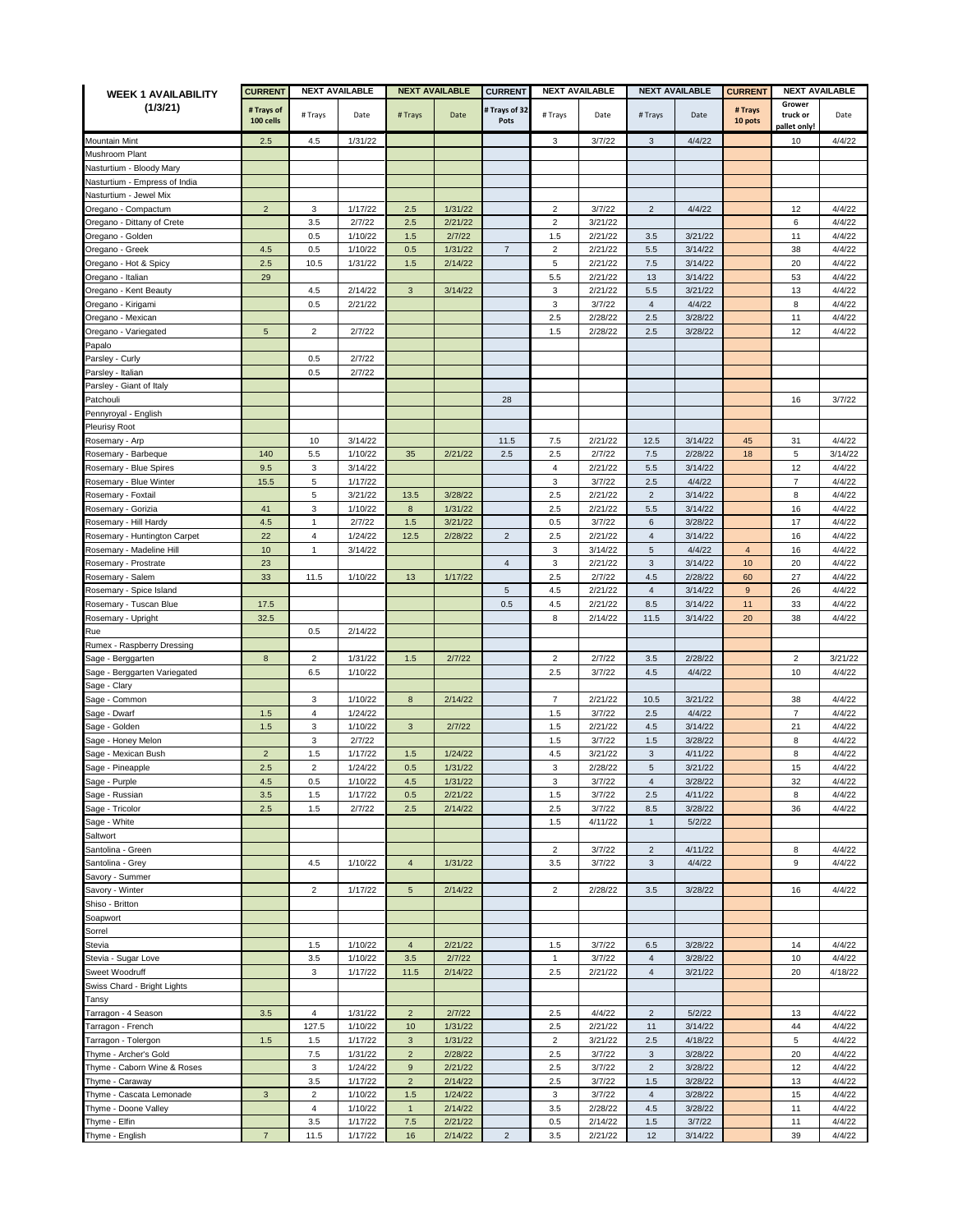| <b>WEEK 1 AVAILABILITY</b>                  | <b>CURRENT</b>          | <b>NEXT AVAILABLE</b>     |                    | <b>NEXT AVAILABLE</b>         |                    | <b>CURRENT</b>        | <b>NEXT AVAILABLE</b>   |                    | <b>NEXT AVAILABLE</b> |                    | <b>CURRENT</b><br><b>NEXT AVAILABLE</b> |                                    |                  |
|---------------------------------------------|-------------------------|---------------------------|--------------------|-------------------------------|--------------------|-----------------------|-------------------------|--------------------|-----------------------|--------------------|-----------------------------------------|------------------------------------|------------------|
| (1/3/21)                                    | # Trays of<br>100 cells | # Trays                   | Date               | #Trays                        | Date               | # Trays of 32<br>Pots | # Trays                 | Date               | # Trays               | Date               | # Trays<br>10 pots                      | Grower<br>truck or<br>pallet only! | Date             |
| Mountain Mint                               | 2.5                     | 4.5                       | 1/31/22            |                               |                    |                       | 3                       | 3/7/22             | 3                     | 4/4/22             |                                         | 10                                 | 4/4/22           |
| Mushroom Plant                              |                         |                           |                    |                               |                    |                       |                         |                    |                       |                    |                                         |                                    |                  |
| Nasturtium - Bloody Mary                    |                         |                           |                    |                               |                    |                       |                         |                    |                       |                    |                                         |                                    |                  |
| Vasturtium - Empress of India               |                         |                           |                    |                               |                    |                       |                         |                    |                       |                    |                                         |                                    |                  |
| Nasturtium - Jewel Mix                      |                         |                           |                    |                               |                    |                       |                         |                    |                       |                    |                                         |                                    |                  |
| Oregano - Compactum                         | $\overline{2}$          | 3                         | 1/17/22            | 2.5                           | 1/31/22            |                       | 2                       | 3/7/22             | $\overline{c}$        | 4/4/22             |                                         | 12                                 | 4/4/22           |
| Oregano - Dittany of Crete                  |                         | 3.5                       | 2/7/22             | 2.5                           | 2/21/22            |                       | $\overline{c}$          | 3/21/22            |                       |                    |                                         | 6                                  | 4/4/22           |
| Oregano - Golden                            |                         | 0.5                       | 1/10/22            | 1.5                           | 2/7/22             |                       | 1.5                     | 2/21/22            | 3.5                   | 3/21/22            |                                         | 11                                 | 4/4/22           |
| Oregano - Greek                             | 4.5                     | 0.5                       | 1/10/22            | 0.5                           | 1/31/22            | $\overline{7}$        | $\overline{2}$          | 2/21/22            | 5.5                   | 3/14/22            |                                         | 38                                 | 4/4/22           |
| Oregano - Hot & Spicy                       | 2.5                     | 10.5                      | 1/31/22            | 1.5                           | 2/14/22            |                       | 5                       | 2/21/22            | $7.5\,$               | 3/14/22            |                                         | 20                                 | 4/4/22           |
| Oregano - Italian                           | 29                      |                           |                    |                               |                    |                       | 5.5                     | 2/21/22            | 13                    | 3/14/22            |                                         | 53                                 | 4/4/22           |
| Oregano - Kent Beauty                       |                         | 4.5                       | 2/14/22            | $\mathbf{3}$                  | 3/14/22            |                       | 3                       | 2/21/22            | 5.5                   | 3/21/22            |                                         | 13                                 | 4/4/22           |
| Oregano - Kirigami                          |                         | 0.5                       | 2/21/22            |                               |                    |                       | $\mathsf 3$             | 3/7/22             | $\overline{4}$        | 4/4/22             |                                         | 8                                  | 4/4/22           |
| Oregano - Mexican                           |                         |                           |                    |                               |                    |                       | 2.5                     | 2/28/22            | 2.5                   | 3/28/22            |                                         | 11                                 | 4/4/22           |
| Oregano - Variegated                        | $\sqrt{5}$              | $\overline{2}$            | 2/7/22             |                               |                    |                       | 1.5                     | 2/28/22            | 2.5                   | 3/28/22            |                                         | 12                                 | 4/4/22           |
| Papalo                                      |                         |                           |                    |                               |                    |                       |                         |                    |                       |                    |                                         |                                    |                  |
| Parsley - Curly                             |                         | 0.5                       | 2/7/22             |                               |                    |                       |                         |                    |                       |                    |                                         |                                    |                  |
| Parsley - Italian                           |                         | 0.5                       | 2/7/22             |                               |                    |                       |                         |                    |                       |                    |                                         |                                    |                  |
| Parsley - Giant of Italy                    |                         |                           |                    |                               |                    | 28                    |                         |                    |                       |                    |                                         | 16                                 | 3/7/22           |
| Patchouli<br>Pennyroyal - English           |                         |                           |                    |                               |                    |                       |                         |                    |                       |                    |                                         |                                    |                  |
| Pleurisy Root                               |                         |                           |                    |                               |                    |                       |                         |                    |                       |                    |                                         |                                    |                  |
| Rosemary - Arp                              |                         | 10                        | 3/14/22            |                               |                    | 11.5                  | 7.5                     | 2/21/22            | 12.5                  | 3/14/22            | 45                                      | 31                                 | 4/4/22           |
| Rosemary - Barbeque                         | 140                     | 5.5                       | 1/10/22            | 35                            | 2/21/22            | 2.5                   | 2.5                     | 2/7/22             | $7.5\,$               | 2/28/22            | 18                                      | 5                                  | 3/14/22          |
| Rosemary - Blue Spires                      | 9.5                     | 3                         | 3/14/22            |                               |                    |                       | $\overline{\mathbf{4}}$ | 2/21/22            | 5.5                   | 3/14/22            |                                         | 12                                 | 4/4/22           |
| Rosemary - Blue Winter                      | 15.5                    | 5                         | 1/17/22            |                               |                    |                       | $\mathsf 3$             | 3/7/22             | 2.5                   | 4/4/22             |                                         | $\overline{7}$                     | 4/4/22           |
| Rosemary - Foxtail                          |                         | 5                         | 3/21/22            | 13.5                          | 3/28/22            |                       | 2.5                     | 2/21/22            | $\overline{2}$        | 3/14/22            |                                         | 8                                  | 4/4/22           |
| Rosemary - Gorizia                          | 41                      | $\mathbf 3$               | 1/10/22            | $\bf{8}$                      | 1/31/22            |                       | 2.5                     | 2/21/22            | 5.5                   | 3/14/22            |                                         | 16                                 | 4/4/22           |
| Rosemary - Hill Hardy                       | 4.5                     | $\mathbf{1}$              | 2/7/22             | 1.5                           | 3/21/22            |                       | 0.5                     | 3/7/22             | 6                     | 3/28/22            |                                         | 17                                 | 4/4/22           |
| Rosemary - Huntington Carpet                | 22                      | $\overline{4}$            | 1/24/22            | 12.5                          | 2/28/22            | $\overline{2}$        | 2.5                     | 2/21/22            | $\overline{4}$        | 3/14/22            |                                         | 16                                 | 4/4/22           |
| Rosemary - Madeline Hill                    | 10                      | 1                         | 3/14/22            |                               |                    |                       | 3                       | 3/14/22            | 5                     | 4/4/22             | $\overline{4}$                          | 16                                 | 4/4/22           |
| Rosemary - Prostrate                        | 23                      |                           |                    |                               |                    | $\overline{4}$        | 3                       | 2/21/22            | $\mathbf{3}$          | 3/14/22            | 10                                      | 20                                 | 4/4/22           |
| Rosemary - Salem                            | 33                      | 11.5                      | 1/10/22            | 13                            | 1/17/22            |                       | 2.5                     | 2/7/22             | 4.5                   | 2/28/22            | 60                                      | 27                                 | 4/4/22           |
| Rosemary - Spice Island                     |                         |                           |                    |                               |                    | 5                     | 4.5                     | 2/21/22            | $\overline{4}$        | 3/14/22            | 9                                       | 26                                 | 4/4/22           |
| Rosemary - Tuscan Blue                      | 17.5                    |                           |                    |                               |                    | 0.5                   | 4.5                     | 2/21/22            | 8.5                   | 3/14/22            | 11                                      | 33                                 | 4/4/22           |
| Rosemary - Upright                          | 32.5                    |                           |                    |                               |                    |                       | 8                       | 2/14/22            | 11.5                  | 3/14/22            | 20                                      | 38                                 | 4/4/22           |
| Rue                                         |                         | 0.5                       | 2/14/22            |                               |                    |                       |                         |                    |                       |                    |                                         |                                    |                  |
| Rumex - Raspberry Dressing                  |                         |                           |                    |                               |                    |                       |                         |                    |                       |                    |                                         |                                    |                  |
| Sage - Berggarten                           | $\bf8$                  | $\overline{2}$            | 1/31/22            | 1.5                           | 2/7/22             |                       | $\overline{c}$          | 2/7/22             | 3.5                   | 2/28/22            |                                         | $\overline{c}$                     | 3/21/22          |
| Sage - Berggarten Variegated                |                         | 6.5                       | 1/10/22            |                               |                    |                       | 2.5                     | 3/7/22             | 4.5                   | 4/4/22             |                                         | 10                                 | 4/4/22           |
| Sage - Clary                                |                         |                           |                    |                               |                    |                       |                         |                    |                       |                    |                                         |                                    |                  |
| Sage - Common                               |                         | 3                         | 1/10/22            | 8                             | 2/14/22            |                       | $\overline{7}$          | 2/21/22            | 10.5                  | 3/21/22            |                                         | 38                                 | 4/4/22           |
| Sage - Dwarf                                | 1.5                     | 4                         | 1/24/22            |                               |                    |                       | 1.5                     | 3/7/22             | 2.5                   | 4/4/22             |                                         | $\overline{7}$                     | 4/4/22           |
| Sage - Golden                               | 1.5                     | 3                         | 1/10/22            | 3                             | 2/7/22             |                       | 1.5                     | 2/21/22            | 4.5                   | 3/14/22            |                                         | 21                                 | 4/4/22           |
| Sage - Honey Melon                          |                         | 3                         | 2/7/22<br>1/17/22  |                               |                    |                       | 1.5                     | 3/7/22             | 1.5                   | 3/28/22            |                                         | 8<br>8                             | 4/4/22<br>4/4/22 |
| Sage - Mexican Bush<br>Sage - Pineapple     | $\overline{2}$<br>2.5   | 1.5<br>$\overline{2}$     | 1/24/22            | 1.5<br>0.5                    | 1/24/22<br>1/31/22 |                       | 4.5<br>3                | 3/21/22<br>2/28/22 | 3<br>5                | 4/11/22<br>3/21/22 |                                         | 15                                 | 4/4/22           |
| Sage - Purple                               | $4.5\,$                 | $\rm 0.5$                 | 1/10/22            | 4.5                           | 1/31/22            |                       | 3                       | 3/7/22             | $\overline{4}$        | 3/28/22            |                                         | 32                                 | 4/4/22           |
| Sage - Russian                              | 3.5                     | 1.5                       | 1/17/22            | 0.5                           | 2/21/22            |                       | 1.5                     | 3/7/22             | 2.5                   | 4/11/22            |                                         | 8                                  | 4/4/22           |
| Sage - Tricolor                             | 2.5                     | 1.5                       | 2/7/22             | 2.5                           | 2/14/22            |                       | 2.5                     | 3/7/22             | 8.5                   | 3/28/22            |                                         | 36                                 | 4/4/22           |
| Sage - White                                |                         |                           |                    |                               |                    |                       | 1.5                     | 4/11/22            | $\mathbf{1}$          | 5/2/22             |                                         |                                    |                  |
| Saltwort                                    |                         |                           |                    |                               |                    |                       |                         |                    |                       |                    |                                         |                                    |                  |
| Santolina - Green                           |                         |                           |                    |                               |                    |                       | $\overline{2}$          | 3/7/22             | $\overline{c}$        | 4/11/22            |                                         | 8                                  | 4/4/22           |
| Santolina - Grey                            |                         | 4.5                       | 1/10/22            | $\overline{4}$                | 1/31/22            |                       | $3.5\,$                 | 3/7/22             | $\mathbf{3}$          | 4/4/22             |                                         | 9                                  | 4/4/22           |
| Savory - Summer                             |                         |                           |                    |                               |                    |                       |                         |                    |                       |                    |                                         |                                    |                  |
| Savory - Winter                             |                         | $\overline{2}$            | 1/17/22            | $5\phantom{.0}$               | 2/14/22            |                       | $\overline{2}$          | 2/28/22            | 3.5                   | 3/28/22            |                                         | 16                                 | 4/4/22           |
| Shiso - Britton                             |                         |                           |                    |                               |                    |                       |                         |                    |                       |                    |                                         |                                    |                  |
| Soapwort                                    |                         |                           |                    |                               |                    |                       |                         |                    |                       |                    |                                         |                                    |                  |
| Sorrel                                      |                         |                           |                    |                               |                    |                       |                         |                    |                       |                    |                                         |                                    |                  |
| Stevia                                      |                         | 1.5                       | 1/10/22            | $\overline{4}$                | 2/21/22            |                       | 1.5                     | 3/7/22             | 6.5                   | 3/28/22            |                                         | 14                                 | 4/4/22           |
| Stevia - Sugar Love                         |                         | 3.5                       | 1/10/22            | $3.5\,$                       | 2/7/22             |                       | $\mathbf{1}$            | 3/7/22             | $\overline{4}$        | 3/28/22            |                                         | 10                                 | 4/4/22           |
| Sweet Woodruff                              |                         | 3                         | 1/17/22            | 11.5                          | 2/14/22            |                       | 2.5                     | 2/21/22            | $\overline{4}$        | 3/21/22            |                                         | 20                                 | 4/18/22          |
| Swiss Chard - Bright Lights                 |                         |                           |                    |                               |                    |                       |                         |                    |                       |                    |                                         |                                    |                  |
| Tansy                                       |                         |                           |                    |                               |                    |                       |                         |                    |                       |                    |                                         |                                    |                  |
| Tarragon - 4 Season                         | 3.5                     | $\overline{4}$            | 1/31/22            | $\overline{2}$                | 2/7/22             |                       | 2.5                     | 4/4/22             | $\overline{2}$        | 5/2/22             |                                         | 13                                 | 4/4/22           |
| Tarragon - French                           |                         | 127.5                     | 1/10/22            | 10                            | 1/31/22            |                       | 2.5                     | 2/21/22            | 11                    | 3/14/22            |                                         | 44                                 | 4/4/22           |
| Tarragon - Tolergon                         | 1.5                     | 1.5                       | 1/17/22            | $\mathbf{3}$                  | 1/31/22            |                       | $\overline{2}$          | 3/21/22            | 2.5                   | 4/18/22            |                                         | 5                                  | 4/4/22           |
| Thyme - Archer's Gold                       |                         | 7.5<br>3                  | 1/31/22<br>1/24/22 | $\overline{2}$<br>$\mathsf g$ | 2/28/22<br>2/21/22 |                       | 2.5<br>2.5              | 3/7/22<br>3/7/22   | 3<br>$\overline{2}$   | 3/28/22<br>3/28/22 |                                         | 20<br>12                           | 4/4/22<br>4/4/22 |
| Thyme - Caborn Wine & Roses                 |                         |                           | 1/17/22            | $\overline{2}$                | 2/14/22            |                       | 2.5                     | 3/7/22             | 1.5                   | 3/28/22            |                                         | 13                                 | 4/4/22           |
| Thyme - Caraway<br>Thyme - Cascata Lemonade | 3                       | $3.5\,$<br>$\overline{2}$ | 1/10/22            | $1.5$                         | 1/24/22            |                       | 3                       | 3/7/22             | $\overline{4}$        | 3/28/22            |                                         | 15                                 | 4/4/22           |
| Thyme - Doone Valley                        |                         | $\overline{4}$            | 1/10/22            | $\mathbf{1}$                  | 2/14/22            |                       | 3.5                     | 2/28/22            | $4.5\,$               | 3/28/22            |                                         | 11                                 | 4/4/22           |
| Thyme - Elfin                               |                         | $3.5\,$                   | 1/17/22            | $7.5\,$                       | 2/21/22            |                       | 0.5                     | 2/14/22            | $1.5\,$               | 3/7/22             |                                         | 11                                 | 4/4/22           |
| Thyme - English                             | $\overline{7}$          | 11.5                      | 1/17/22            | 16                            | 2/14/22            | $\overline{c}$        | 3.5                     | 2/21/22            | 12                    | 3/14/22            |                                         | 39                                 | 4/4/22           |
|                                             |                         |                           |                    |                               |                    |                       |                         |                    |                       |                    |                                         |                                    |                  |